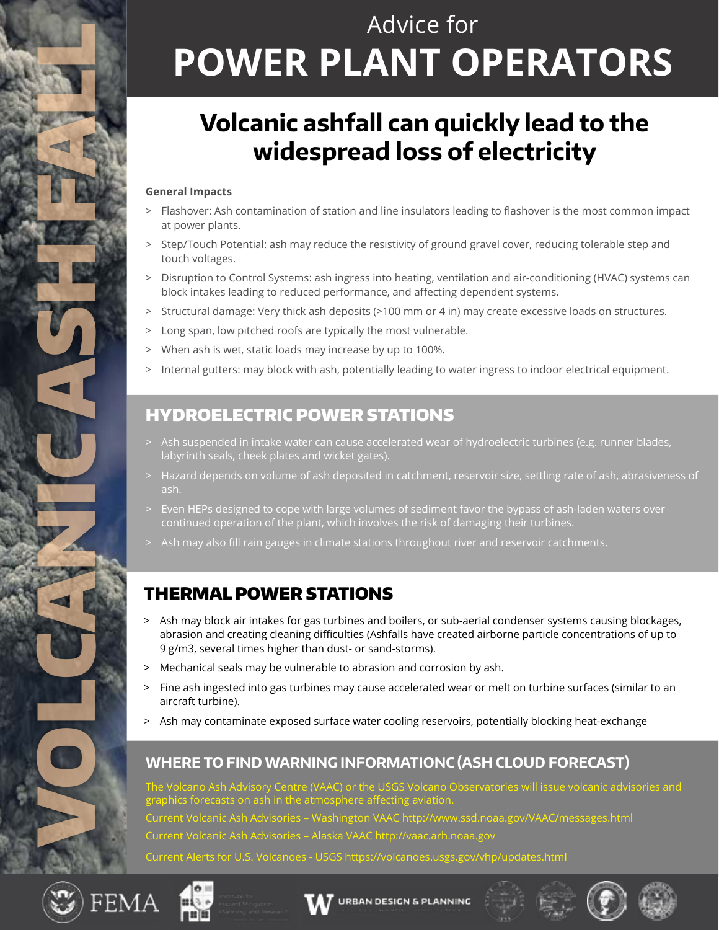# Advice for **POWER PLANT OPERATORS**

### **Volcanic ashfall can quickly lead to the widespread loss of electricity**

#### **General Impacts**

- > Flashover: Ash contamination of station and line insulators leading to flashover is the most common impact at power plants.
- > Step/Touch Potential: ash may reduce the resistivity of ground gravel cover, reducing tolerable step and touch voltages.
- > Disruption to Control Systems: ash ingress into heating, ventilation and air-conditioning (HVAC) systems can block intakes leading to reduced performance, and affecting dependent systems.
- > Structural damage: Very thick ash deposits (>100 mm or 4 in) may create excessive loads on structures.
- > Long span, low pitched roofs are typically the most vulnerable.
- > When ash is wet, static loads may increase by up to 100%.
- > Internal gutters: may block with ash, potentially leading to water ingress to indoor electrical equipment.

#### HYDROELECTRIC POWER STATIONS

- > Ash suspended in intake water can cause accelerated wear of hydroelectric turbines (e.g. runner blades, labyrinth seals, cheek plates and wicket gates).
- > Hazard depends on volume of ash deposited in catchment, reservoir size, settling rate of ash, abrasiveness of ash.
- > Even HEPs designed to cope with large volumes of sediment favor the bypass of ash-laden waters over continued operation of the plant, which involves the risk of damaging their turbines.
- Ash may also fill rain gauges in climate stations throughout river and reservoir catchments.

#### THERMAL POWER STATIONS

- > Ash may block air intakes for gas turbines and boilers, or sub-aerial condenser systems causing blockages, abrasion and creating cleaning difficulties (Ashfalls have created airborne particle concentrations of up to 9 g/m3, several times higher than dust- or sand-storms).
- > Mechanical seals may be vulnerable to abrasion and corrosion by ash.
- > Fine ash ingested into gas turbines may cause accelerated wear or melt on turbine surfaces (similar to an aircraft turbine).
- > Ash may contaminate exposed surface water cooling reservoirs, potentially blocking heat-exchange

#### **WHERE TO FIND WARNING INFORMATIONC (ASH CLOUD FORECAST)**

VAAC) or the USGS Volcano Observatories will issue volcanic advisories and graphics forecasts on ash in the atmosphere affecting aviation. Current Volcanic Ash Advisories – Washington VAAC http://www.ssd.noaa.gov/VAAC/messages.html Current Volcanic Ash Advisories – Alaska VAAC http://vaac.arh.noaa.gov Current Alerts for U.S. Volcanoes - USGS https://volcanoes.usgs.gov/vhp/updates.html



VOLCANICASH FAN 2